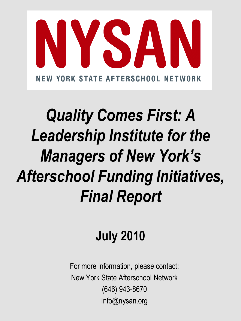

# *Quality Comes First: A Leadership Institute for the Managers of New York's Afterschool Funding Initiatives, Final Report*

## **July 2010**

For more information, please contact: New York State Afterschool Network (646) 943-8670 Info@nysan.org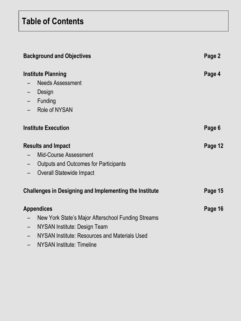### **Table of Contents**

| <b>Background and Objectives</b>                              |                                                    | Page 2  |
|---------------------------------------------------------------|----------------------------------------------------|---------|
| <b>Institute Planning</b>                                     |                                                    | Page 4  |
|                                                               | <b>Needs Assessment</b>                            |         |
| -                                                             | Design                                             |         |
|                                                               | Funding                                            |         |
| $-$                                                           | <b>Role of NYSAN</b>                               |         |
|                                                               | <b>Institute Execution</b>                         | Page 6  |
| <b>Results and Impact</b>                                     |                                                    | Page 12 |
|                                                               | <b>Mid-Course Assessment</b>                       |         |
|                                                               | <b>Outputs and Outcomes for Participants</b>       |         |
| $\qquad \qquad -$                                             | <b>Overall Statewide Impact</b>                    |         |
| <b>Challenges in Designing and Implementing the Institute</b> |                                                    | Page 15 |
| <b>Appendices</b>                                             |                                                    | Page 16 |
|                                                               | New York State's Major Afterschool Funding Streams |         |
|                                                               | NYSAN Institute: Design Team                       |         |
|                                                               | NYSAN Institute: Resources and Materials Used      |         |

– NYSAN Institute: Timeline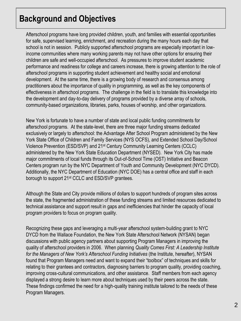### **Background and Objectives**

Afterschool programs have long provided children, youth, and families with essential opportunities for safe, supervised learning, enrichment, and recreation during the many hours each day that school is not in session. Publicly supported afterschool programs are especially important in lowincome communities where many working parents may not have other options for ensuring their children are safe and well-occupied afterschool. As pressures to improve student academic performance and readiness for college and careers increase, there is growing attention to the role of afterschool programs in supporting student achievement and healthy social and emotional development. At the same time, there is a growing body of research and consensus among practitioners about the importance of quality in programming, as well as the key components of effectiveness in afterschool programs. The challenge in the field is to translate this knowledge into the development and day-to-day delivery of programs provided by a diverse array of schools, community-based organizations, libraries, parks, houses of worship, and other organizations.

New York is fortunate to have a number of state and local public funding commitments for afterschool programs. At the state-level, there are three major funding streams dedicated exclusively or largely to afterschool: the Advantage After School Program administered by the New York State Office of Children and Family Services (NYS OCFS), and Extended School Day/School Violence Prevention (ESD/SVP) and 21st Century Community Learning Centers (CCLC) administered by the New York State Education Department (NYSED). New York City has made major commitments of local funds through its Out-of-School Time (OST) Initiative and Beacon Centers program run by the NYC Department of Youth and Community Development (NYC DYCD). Additionally, the NYC Department of Education (NYC DOE) has a central office and staff in each borough to support 21st CCLC and ESD/SVP grantees.

Although the State and City provide millions of dollars to support hundreds of program sites across the state, the fragmented administration of these funding streams and limited resources dedicated to technical assistance and support result in gaps and inefficiencies that hinder the capacity of local program providers to focus on program quality.

Recognizing these gaps and leveraging a multi-year afterschool system-building grant to NYC DYCD from the Wallace Foundation, the New York State Afterschool Network (NYSAN) began discussions with public agency partners about supporting Program Managers in improving the quality of afterschool providers in 2006. When planning *Quality Comes First: A Leadership Institute*  for the Managers of New York's Afterschool Funding Initiatives (the Institute, hereafter), NYSAN found that Program Managers need and want to expand their "toolbox" of techniques and skills for relating to their grantees and contractors, diagnosing barriers to program quality, providing coaching, improving cross-cultural communications, and other assistance. Staff members from each agency displayed a strong desire to learn more about techniques used by their peers across the state. These findings confirmed the need for a high-quality training institute tailored to the needs of these Program Managers.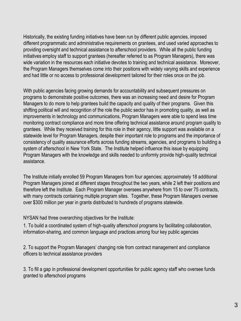Historically, the existing funding initiatives have been run by different public agencies, imposed different programmatic and administrative requirements on grantees, and used varied approaches to providing oversight and technical assistance to afterschool providers. While all the public funding initiatives employ staff to support grantees (hereafter referred to as Program Managers), there was wide variation in the resources each initiative devotes to training and technical assistance. Moreover, the Program Managers themselves come into their positions with widely varying skills and experience and had little or no access to professional development tailored for their roles once on the job.

With public agencies facing growing demands for accountability and subsequent pressures on programs to demonstrate positive outcomes, there was an increasing need and desire for Program Managers to do more to help grantees build the capacity and quality of their programs. Given this shifting political will and recognition of the role the public sector has in promoting quality, as well as improvements in technology and communications, Program Managers were able to spend less time monitoring contract compliance and more time offering technical assistance around program quality to grantees. While they received training for this role in their agency, little support was available on a statewide level for Program Managers, despite their important role to programs and the importance of consistency of quality assurance efforts across funding streams, agencies, and programs to building a system of afterschool in New York State. The Institute helped influence this issue by equipping Program Managers with the knowledge and skills needed to uniformly provide high-quality technical assistance.

The Institute initially enrolled 59 Program Managers from four agencies; approximately 18 additional Program Managers joined at different stages throughout the two years, while 2 left their positions and therefore left the Institute. Each Program Manager oversees anywhere from 15 to over 75 contracts, with many contracts containing multiple program sites. Together, these Program Managers oversee over \$300 million per year in grants distributed to hundreds of programs statewide.

NYSAN had three overarching objectives for the Institute:

1. To build a coordinated system of high-quality afterschool programs by facilitating collaboration, information-sharing, and common language and practices among four key public agencies

2. To support the Program Managers' changing role from contract management and compliance officers to technical assistance providers

3. To fill a gap in professional development opportunities for public agency staff who oversee funds granted to afterschool programs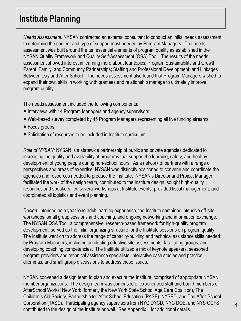### **Institute Planning**

*Needs Assessment:* NYSAN contracted an external consultant to conduct an initial needs assessment to determine the content and type of support most needed by Program Managers. The needs assessment was built around the ten essential elements of program quality as established in the NYSAN Quality Framework and Quality Self-Assessment (QSA) Tool. The results of the needs assessment showed interest in learning more about four topics: Program Sustainability and Growth; Parent, Family, and Community Partnerships; Staffing and Professional Development; and Linkages Between Day and After School. The needs assessment also found that Program Managers wished to expand their own skills in working with grantees and relationship manage to ultimately improve program quality.

The needs assessment included the following components:

- Interviews with 14 Program Managers and agency supervisors
- Web-based survey completed by 45 Program Managers representing all five funding streams
- Focus groups
- Solicitation of resources to be included in Institute curriculum

*Role of NYSAN:* NYSAN is a statewide partnership of public and private agencies dedicated to increasing the quality and availability of programs that support the learning, safety, and healthy development of young people during non-school hours. As a network of partners with a range of perspectives and areas of expertise, NYSAN was distinctly positioned to convene and coordinate the agencies and resources needed to produce the Institute. NYSAN's Director and Project Manager facilitated the work of the design team, contributed to the Institute design, sought high-quality resources and speakers, led several workshops at Institute events, provided fiscal management, and coordinated all logistics and event planning.

*Design:* Intended as a year-long adult learning experience, the Institute combined intensive off-site workshops, small group sessions and coaching, and ongoing networking and information exchange. The NYSAN QSA Tool, a comprehensive, research-based framework for high-quality program development, served as the initial organizing structure for the Institute sessions on program quality. The Institute went on to address the range of capacity-building and technical assistance skills needed by Program Managers, including conducting effective site assessments, facilitating groups, and developing coaching competencies. The Institute utilized a mix of keynote speakers, seasoned program providers and technical assistance specialists, interactive case studies and practice dilemmas, and small group discussions to address these issues.

NYSAN convened a design team to plan and execute the Institute, comprised of appropriate NYSAN member organizations. The design team was comprised of experienced staff and board members of AfterSchool Works! New York (formerly the New York State School Age Care Coalition), The Children's Aid Society, Partnership for After School Education (PASE), NYSED, and The After-School Corporation (TASC). Participating agency supervisors from NYC DYCD, NYC DOE, and NYS OCFS contributed to the design of the Institute as well. See Appendix II for additional details.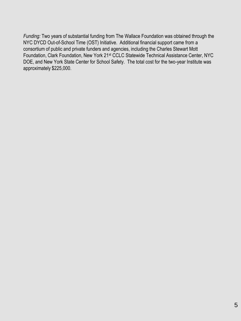*Funding:* Two years of substantial funding from The Wallace Foundation was obtained through the NYC DYCD Out-of-School Time (OST) Initiative. Additional financial support came from a consortium of public and private funders and agencies, including the Charles Stewart Mott Foundation, Clark Foundation, New York 21st CCLC Statewide Technical Assistance Center, NYC DOE, and New York State Center for School Safety. The total cost for the two-year Institute was approximately \$225,000.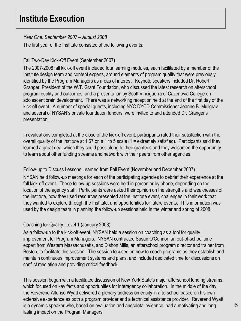### **Institute Execution**

#### *Year One: September 2007 – August 2008*

The first year of the Institute consisted of the following events:

#### Fall Two-Day Kick-Off Event (September 2007)

The 2007-2008 fall kick-off event included four learning modules, each facilitated by a member of the Institute design team and content experts, around elements of program quality that were previously identified by the Program Managers as areas of interest. Keynote speakers included Dr. Robert Granger, President of the W.T. Grant Foundation, who discussed the latest research on afterschool program quality and outcomes, and a presentation by Scott Vinciguerra of Cazenovia College on adolescent brain development. There was a networking reception held at the end of the first day of the kick-off event. A number of special guests, including NYC DYCD Commissioner Jeanne B. Mullgrav and several of NYSAN's private foundation funders, were invited to and attended Dr. Granger's presentation.

In evaluations completed at the close of the kick-off event, participants rated their satisfaction with the overall quality of the Institute at 1.67 on a 1 to 5 scale (1 = extremely satisfied). Participants said they learned a great deal which they could pass along to their grantees and they welcomed the opportunity to learn about other funding streams and network with their peers from other agencies.

#### Follow-up to Discuss Lessons Learned from Fall Event (November and December 2007)

NYSAN held follow-up meetings for each of the participating agencies to debrief their experience at the fall kick-off event. These follow-up sessions were held in person or by phone, depending on the location of the agency staff. Participants were asked their opinion on the strengths and weaknesses of the Institute, how they used resources presented at the Institute event, challenges in their work that they wanted to explore through the Institute, and opportunities for future events. This information was used by the design team in planning the follow-up sessions held in the winter and spring of 2008.

#### Coaching for Quality, Level 1 (January 2008)

As a follow-up to the kick-off event, NYSAN held a session on coaching as a tool for quality improvement for Program Managers. NYSAN contracted Susan O'Connor, an out-of-school time expert from Western Massachusetts, and Dishon Mills, an afterschool program director and trainer from Boston, to facilitate this session. The session focused on how to coach programs as they establish and maintain continuous improvement systems and plans, and included dedicated time for discussions on conflict mediation and providing critical feedback.

This session began with a facilitated discussion of New York State's major afterschool funding streams, which focused on key facts and opportunities for interagency collaboration. In the middle of the day, the Reverend Alfonso Wyatt delivered a plenary address on equity in afterschool based on his own extensive experience as both a program provider and a technical assistance provider. Reverend Wyatt is a dynamic speaker who, based on evaluation and anecdotal evidence, had a motivating and longlasting impact on the Program Managers.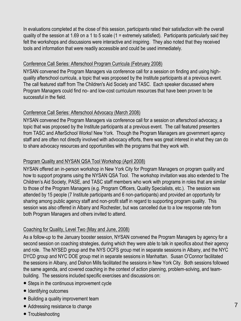In evaluations completed at the close of this session, participants rated their satisfaction with the overall quality of the session at 1.69 on a 1 to 5 scale (1 = extremely satisfied). Participants particularly said they felt the workshops and discussions were interactive and inspiring. They also noted that they received tools and information that were readily accessible and could be used immediately.

#### Conference Call Series: Afterschool Program Curricula (February 2008)

NYSAN convened the Program Managers via conference call for a session on finding and using highquality afterschool curricula, a topic that was proposed by the Institute participants at a previous event. The call featured staff from The Children's Aid Society and TASC. Each speaker discussed where Program Managers could find no- and low-cost curriculum resources that have been proven to be successful in the field.

#### Conference Call Series: Afterschool Advocacy (March 2008)

NYSAN convened the Program Managers via conference call for a session on afterschool advocacy, a topic that was proposed by the Institute participants at a previous event. The call featured presenters from TASC and AfterSchool Works! New York. Though the Program Managers are government agency staff and are often not directly involved with advocacy efforts, there was great interest in what they can do to share advocacy resources and opportunities with the programs that they work with.

#### Program Quality and NYSAN QSA Tool Workshop (April 2008)

NYSAN offered an in-person workshop in New York City for Program Managers on program quality and how to support programs using the NYSAN QSA Tool. The workshop invitation was also extended to The Children's Aid Society, PASE, and TASC staff members who work with programs in roles that are similar to those of the Program Managers (e.g. Program Officers, Quality Specialists, etc.). The session was attended by 15 people (7 Institute participants and 6 non-participants) and provided an opportunity for sharing among public agency staff and non-profit staff in regard to supporting program quality. This session was also offered in Albany and Rochester, but was cancelled due to a low response rate from both Program Managers and others invited to attend.

#### Coaching for Quality, Level Two (May and June, 2008)

As a follow-up to the January booster session, NYSAN convened the Program Managers by agency for a second session on coaching strategies, during which they were able to talk in specifics about their agency and role. The NYSED group and the NYS OCFS group met in separate sessions in Albany, and the NYC DYCD group and NYC DOE group met in separate sessions in Manhattan. Susan O'Connor facilitated the sessions in Albany, and Dishon Mills facilitated the sessions in New York City. Both sessions followed the same agenda, and covered coaching in the context of action planning, problem-solving, and teambuilding. The sessions included specific exercises and discussions on:

- Steps in the continuous improvement cycle
- Identifying outcomes
- Building a quality improvement team
- Addressing resistance to change
- Troubleshooting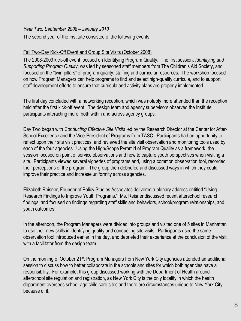#### *Year Two: September 2008 – January 2010*

The second year of the Institute consisted of the following events:

#### Fall Two-Day Kick-Off Event and Group Site Visits (October 2008)

The 2008-2009 kick-off event focused on Identifying Program Quality. The first session, *Identifying and Supporting Program Quality*, was led by seasoned staff members from The Children's Aid Society, and focused on the "twin pillars" of program quality: staffing and curricular resources. The workshop focused on how Program Managers can help programs to find and select high-quality curricula, and to support staff development efforts to ensure that curricula and activity plans are properly implemented.

The first day concluded with a networking reception, which was notably more attended than the reception held after the first kick-off event. The design team and agency supervisors observed the Institute participants interacting more, both within and across agency groups.

Day Two began with *Conducting Effective Site Visits* led by the Research Director at the Center for After-School Excellence and the Vice-President of Programs from TASC. Participants had an opportunity to reflect upon their site visit practices, and reviewed the site visit observation and monitoring tools used by each of the four agencies. Using the High/Scope Pyramid of Program Quality as a framework, the session focused on point of service observations and how to capture youth perspectives when visiting a site. Participants viewed several vignettes of programs and, using a common observation tool, recorded their perceptions of the program. The group then debriefed and discussed ways in which they could improve their practice and increase uniformity across agencies.

Elizabeth Reisner, Founder of Policy Studies Associates delivered a plenary address entitled "Using Research Findings to Improve Youth Programs." Ms. Reisner discussed recent afterschool research findings, and focused on findings regarding staff skills and behaviors, school/program relationships, and youth outcomes.

In the afternoon, the Program Managers were divided into groups and visited one of 5 sites in Manhattan to use their new skills in identifying quality and conducting site visits. Participants used the same observation tool introduced earlier in the day, and debriefed their experience at the conclusion of the visit with a facilitator from the design team.

On the morning of October 21st, Program Managers from New York City agencies attended an additional session to discuss how to better collaborate in the schools and sites for which both agencies have a responsibility. For example, this group discussed working with the Department of Health around afterschool site regulation and registration, as New York City is the only locality in which the health department oversees school-age child care sites and there are circumstances unique to New York City because of it.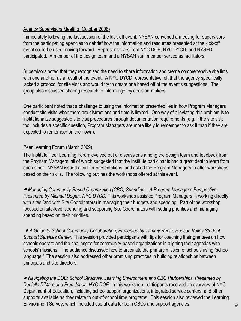#### Agency Supervisors Meeting (October 2008)

Immediately following the last session of the kick-off event, NYSAN convened a meeting for supervisors from the participating agencies to debrief how the information and resources presented at the kick-off event could be used moving forward. Representatives from NYC DOE, NYC DYCD, and NYSED participated. A member of the design team and a NYSAN staff member served as facilitators.

Supervisors noted that they recognized the need to share information and create comprehensive site lists with one another as a result of the event. A NYC DYCD representative felt that the agency specifically lacked a protocol for site visits and would try to create one based off of the event's suggestions. The group also discussed sharing research to inform agency decision-makers.

One participant noted that a challenge to using the information presented lies in how Program Managers conduct site visits when there are distractions and time is limited. One way of alleviating this problem is to institutionalize suggested site visit procedures through documentation requirements (e.g. if the site visit tool includes a specific question, Program Managers are more likely to remember to ask it than if they are expected to remember on their own).

#### Peer Learning Forum (March 2009)

The Institute Peer Learning Forum evolved out of discussions among the design team and feedback from the Program Managers, all of which suggested that the Institute participants had a great deal to learn from each other. NYSAN issued a call for presentations, and asked the Program Managers to offer workshops based on their skills. The following outlines the workshops offered at this event.

● *Managing Community-Based Organization (CBO) Spending – A Program Manager's Perspective; Presented by Michael Dogan, NYC DYCD:* This workshop assisted Program Managers in working directly with sites (and with Site Coordinators) in managing their budgets and spending. Part of the workshop focused on site-level spending and supporting Site Coordinators with setting priorities and managing spending based on their priorities.

● A Guide to School-Community Collaboration; Presented by Tammy Rhein, Hudson Valley Student *Support Services Center:* This session provided participants with tips for coaching their grantees on how schools operate and the challenges for community-based organizations in aligning their agendas with schools' missions. The audience discussed how to articulate the primary mission of schools using "school language." The session also addressed other promising practices in building relationships between principals and site directors.

● *Navigating the DOE: School Structure, Learning Environment and CBO Partnerships, Presented by Danielle DiMare and Fred Jones, NYC DOE:* In this workshop, participants received an overview of NYC Department of Education, including school support organizations, integrated service centers, and other supports available as they relate to out-of-school time programs. This session also reviewed the Learning Environment Survey, which included useful data for both CBOs and support agencies.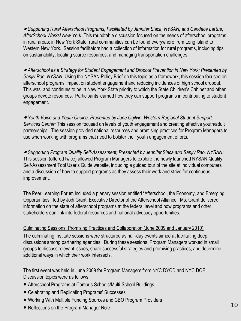● Supporting Rural Afterschool Programs; Facilitated by Jennifer Siaca, NYSAN, and Candace LaRue, *AfterSchool Works! New York:* This roundtable discussion focused on the needs of afterschool programs in rural areas; in New York State, rural communities can be found everywhere from Long Island to Western New York. Session facilitators had a collection of information for rural programs, including tips on sustainability, locating scarce resources, and managing transportation challenges.

● Afterschool as a Strategy for Student Engagement and Dropout Prevention in New York; Presented by *Sanjiv Rao, NYSAN:* Using the NYSAN Policy Brief on this topic as a framework, this session focused on afterschool programs' impact on student engagement and reducing incidences of high school dropout. This was, and continues to be, a New York State priority to which the State Children's Cabinet and other groups devote resources. Participants learned how they can support programs in contributing to student engagement.

● Youth Voice and Youth Choice; Presented by Jane Ogilvie, Western Regional Student Support *Services Center:* This session focused on levels of youth engagement and creating effective youth/adult partnerships. The session provided national resources and promising practices for Program Managers to use when working with programs that need to bolster their youth engagement efforts.

● *Supporting Program Quality Self-Assessment; Presented by Jennifer Siaca and Sanjiv Rao, NYSAN:*  This session (offered twice) allowed Program Managers to explore the newly launched NYSAN Quality Self-Assessment Tool User's Guide website, including a guided tour of the site at individual computers and a discussion of how to support programs as they assess their work and strive for continuous improvement.

The Peer Learning Forum included a plenary session entitled "Afterschool, the Economy, and Emerging Opportunities," led by Jodi Grant, Executive Director of the Afterschool Alliance. Ms. Grant delivered information on the state of afterschool programs at the federal level and how programs and other stakeholders can link into federal resources and national advocacy opportunities.

#### Culminating Sessions: Promising Practices and Collaboration (June 2009 and January 2010)

The culminating Institute sessions were structured as half-day events aimed at facilitating deep discussions among partnering agencies. During these sessions, Program Managers worked in small groups to discuss relevant issues, share successful strategies and promising practices, and determine additional ways in which their work intersects.

The first event was held in June 2009 for Program Managers from NYC DYCD and NYC DOE. Discussion topics were as follows:

- Afterschool Programs at Campus Schools/Multi-School Buildings
- Celebrating and Replicating Programs' Successes
- Working With Multiple Funding Sources and CBO Program Providers
- Reflections on the Program Manager Role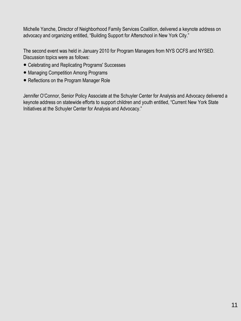Michelle Yanche, Director of Neighborhood Family Services Coalition, delivered a keynote address on advocacy and organizing entitled, "Building Support for Afterschool in New York City."

The second event was held in January 2010 for Program Managers from NYS OCFS and NYSED. Discussion topics were as follows:

- Celebrating and Replicating Programs' Successes
- Managing Competition Among Programs
- Reflections on the Program Manager Role

Jennifer O'Connor, Senior Policy Associate at the Schuyler Center for Analysis and Advocacy delivered a keynote address on statewide efforts to support children and youth entitled, "Current New York State Initiatives at the Schuyler Center for Analysis and Advocacy."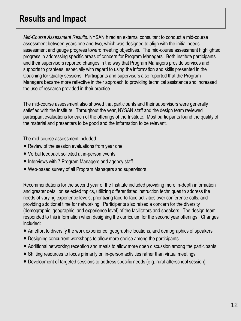### **Results and Impact**

*Mid-Course Assessment Results:* NYSAN hired an external consultant to conduct a mid-course assessment between years one and two, which was designed to align with the initial needs assessment and gauge progress toward meeting objectives. The mid-course assessment highlighted progress in addressing specific areas of concern for Program Managers. Both Institute participants and their supervisors reported changes in the way that Program Managers provide services and supports to grantees, especially with regard to using the information and skills presented in the Coaching for Quality sessions. Participants and supervisors also reported that the Program Managers became more reflective in their approach to providing technical assistance and increased the use of research provided in their practice.

The mid-course assessment also showed that participants and their supervisors were generally satisfied with the Institute. Throughout the year, NYSAN staff and the design team reviewed participant evaluations for each of the offerings of the Institute. Most participants found the quality of the material and presenters to be good and the information to be relevant.

The mid-course assessment included:

- Review of the session evaluations from year one
- Verbal feedback solicited at in-person events
- Interviews with 7 Program Managers and agency staff
- Web-based survey of all Program Managers and supervisors

Recommendations for the second year of the Institute included providing more in-depth information and greater detail on selected topics, utilizing differentiated instruction techniques to address the needs of varying experience levels, prioritizing face-to-face activities over conference calls, and providing additional time for networking. Participants also raised a concern for the diversity (demographic, geographic, and experience level) of the facilitators and speakers. The design team responded to this information when designing the curriculum for the second year offerings. Changes included:

- An effort to diversify the work experience, geographic locations, and demographics of speakers
- Designing concurrent workshops to allow more choice among the participants
- Additional networking reception and meals to allow more open discussion among the participants
- Shifting resources to focus primarily on in-person activities rather than virtual meetings
- Development of targeted sessions to address specific needs (e.g. rural afterschool session)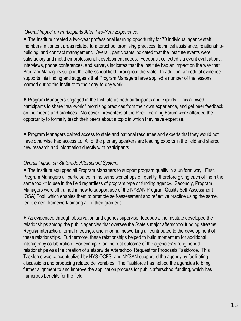#### *Overall Impact on Participants After Two-Year Experience:*

● The Institute created a two-year professional learning opportunity for 70 individual agency staff members in content areas related to afterschool promising practices, technical assistance, relationshipbuilding, and contract management. Overall, participants indicated that the Institute events were satisfactory and met their professional development needs. Feedback collected via event evaluations, interviews, phone conferences, and surveys indicates that the Institute had an impact on the way that Program Managers support the afterschool field throughout the state. In addition, anecdotal evidence supports this finding and suggests that Program Managers have applied a number of the lessons learned during the Institute to their day-to-day work.

● Program Managers engaged in the Institute as both participants and experts. This allowed participants to share "real-world" promising practices from their own experience, and get peer feedback on their ideas and practices. Moreover, presenters at the Peer Learning Forum were afforded the opportunity to formally teach their peers about a topic in which they have expertise.

● Program Managers gained access to state and national resources and experts that they would not have otherwise had access to. All of the plenary speakers are leading experts in the field and shared new research and information directly with participants.

#### *Overall Impact on Statewide Afterschool System:*

● The Institute equipped all Program Managers to support program quality in a uniform way. First, Program Managers all participated in the same workshops on quality, therefore giving each of them the same toolkit to use in the field regardless of program type or funding agency. Secondly, Program Managers were all trained in how to support use of the NYSAN Program Quality Self-Assessment (QSA) Tool, which enables them to promote self-assessment and reflective practice using the same, ten-element framework among all of their grantees.

● As evidenced through observation and agency supervisor feedback, the Institute developed the relationships among the public agencies that oversee the State's major afterschool funding streams. Regular interaction, formal meetings, and informal networking all contributed to the development of these relationships. Furthermore, these relationships helped to build momentum for additional interagency collaboration. For example, an indirect outcome of the agencies' strengthened relationships was the creation of a statewide Afterschool Request for Proposals Taskforce. This Taskforce was conceptualized by NYS OCFS, and NYSAN supported the agency by facilitating discussions and producing related deliverables. The Taskforce has helped the agencies to bring further alignment to and improve the application process for public afterschool funding, which has numerous benefits for the field.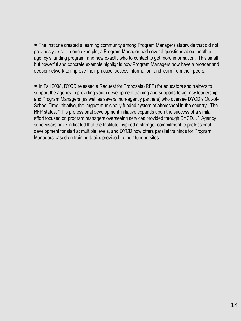● The Institute created a learning community among Program Managers statewide that did not previously exist. In one example, a Program Manager had several questions about another agency's funding program, and new exactly who to contact to get more information. This small but powerful and concrete example highlights how Program Managers now have a broader and deeper network to improve their practice, access information, and learn from their peers.

● In Fall 2008, DYCD released a Request for Proposals (RFP) for educators and trainers to support the agency in providing youth development training and supports to agency leadership and Program Managers (as well as several non-agency partners) who oversee DYCD's Out-of-School Time Initiative, the largest municipally funded system of afterschool in the country. The RFP states, "This professional development initiative expands upon the success of a similar effort focused on program managers overseeing services provided through DYCD…" Agency supervisors have indicated that the Institute inspired a stronger commitment to professional development for staff at multiple levels, and DYCD now offers parallel trainings for Program Managers based on training topics provided to their funded sites.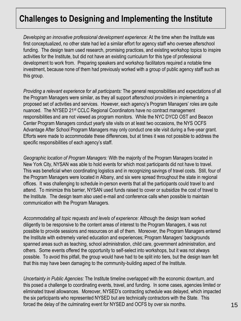### **Challenges to Designing and Implementing the Institute**

*Developing an innovative professional development experience:* At the time when the Institute was first conceptualized, no other state had led a similar effort for agency staff who oversee afterschool funding. The design team used research, promising practices, and existing workshop topics to inspire activities for the Institute, but did not have an existing curriculum for this type of professional development to work from. Preparing speakers and workshop facilitators required a notable time investment, because none of them had previously worked with a group of public agency staff such as this group.

*Providing a relevant experience for all participants:* The general responsibilities and expectations of all the Program Managers were similar, as they all support afterschool providers in implementing a proposed set of activities and services. However, each agency's Program Managers' roles are quite nuanced. The NYSED 21st CCLC Regional Coordinators have no contract management responsibilities and are not viewed as program monitors. While the NYC DYCD OST and Beacon Center Program Managers conduct yearly site visits on at least two occasions, the NYS OCFS Advantage After School Program Managers may only conduct one site visit during a five-year grant. Efforts were made to accommodate these differences, but at times it was not possible to address the specific responsibilities of each agency's staff.

*Geographic location of Program Managers:* With the majority of the Program Managers located in New York City, NYSAN was able to hold events for which most participants did not have to travel. This was beneficial when coordinating logistics and in recognizing savings of travel costs. Still, four of the Program Managers were located in Albany, and six were spread throughout the state in regional offices. It was challenging to schedule in-person events that all the participants could travel to and attend. To minimize this barrier, NYSAN used funds raised to cover or subsidize the cost of travel to the Institute. The design team also used e-mail and conference calls when possible to maintain communication with the Program Managers.

*Accommodating all topic requests and levels of experience:* Although the design team worked diligently to be responsive to the content areas of interest to the Program Managers, it was not possible to provide sessions and resources on all of them. Moreover, the Program Managers entered the Institute with extremely varied education and experiences; Program Managers' backgrounds spanned areas such as teaching, school administration, child care, government administration, and others. Some events offered the opportunity to self-select into workshops, but it was not always possible. To avoid this pitfall, the group would have had to be split into tiers, but the design team felt that this may have been damaging to the community-building aspect of the Institute.

*Uncertainty in Public Agencies:* The Institute timeline overlapped with the economic downturn, and this posed a challenge to coordinating events, travel, and funding. In some cases, agencies limited or eliminated travel allowances. Moreover, NYSED's contracting schedule was delayed, which impacted the six participants who represented NYSED but are technically contractors with the State. This forced the delay of the culminating event for NYSED and OCFS by over six months.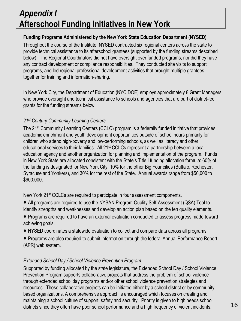### *Appendix I*  **Afterschool Funding Initiatives in New York**

#### **Funding Programs Administered by the New York State Education Department (NYSED)**

Throughout the course of the Institute, NYSED contracted six regional centers across the state to provide technical assistance to its afterschool grantees (supported by the funding streams described below). The Regional Coordinators did not have oversight over funded programs, nor did they have any contract development or compliance responsibilities. They conducted site visits to support programs, and led regional professional development activities that brought multiple grantees together for training and information-sharing.

In New York City, the Department of Education (NYC DOE) employs approximately 8 Grant Managers who provide oversight and technical assistance to schools and agencies that are part of district-led grants for the funding streams below.

#### *21st Century Community Learning Centers*

The 21<sup>st</sup> Community Learning Centers (CCLC) program is a federally funded initiative that provides academic enrichment and youth development opportunities outside of school hours primarily for children who attend high-poverty and low-performing schools, as well as literacy and other educational services to their families. All 21<sup>st</sup> CCLCs represent a partnership between a local education agency and another organization for planning and implementation of the program. Funds in New York State are allocated consistent with the State's Title I funding allocation formula: 60% of the funding is designated for New York City, 10% for the other Big Four cities (Buffalo, Rochester, Syracuse and Yonkers), and 30% for the rest of the State. Annual awards range from \$50,000 to \$900,000.

New York 21<sup>st</sup> CCLCs are required to participate in four assessment components.

- All programs are required to use the NYSAN Program Quality Self-Assessment (QSA) Tool to identify strengths and weaknesses and develop an action plan based on the ten quality elements.
- Programs are required to have an external evaluation conducted to assess progress made toward achieving goals.
- NYSED coordinates a statewide evaluation to collect and compare data across all programs.
- Programs are also required to submit information through the federal Annual Performance Report (APR) web system.

#### *Extended School Day / School Violence Prevention Program*

Supported by funding allocated by the state legislature, the Extended School Day / School Violence Prevention Program supports collaborative projects that address the problem of school violence through extended school day programs and/or other school violence prevention strategies and resources. These collaborative projects can be initiated either by a school district or by communitybased organizations. A comprehensive approach is encouraged which focuses on creating and maintaining a school culture of support, safety and security. Priority is given to high needs school districts since they often have poor school performance and a high frequency of violent incidents.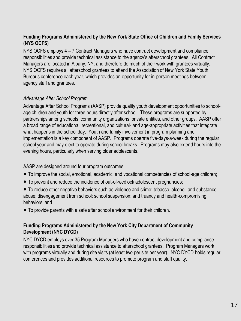#### **Funding Programs Administered by the New York State Office of Children and Family Services (NYS OCFS)**

NYS OCFS employs 4 – 7 Contract Managers who have contract development and compliance responsibilities and provide technical assistance to the agency's afterschool grantees. All Contract Managers are located in Albany, NY, and therefore do much of their work with grantees virtually. NYS OCFS requires all afterschool grantees to attend the Association of New York State Youth Bureaus conference each year, which provides an opportunity for in-person meetings between agency staff and grantees.

#### *Advantage After School Program*

Advantage After School Programs (AASP) provide quality youth development opportunities to schoolage children and youth for three hours directly after school. These programs are supported by partnerships among schools, community organizations, private entities, and other groups. AASP offer a broad range of educational, recreational, and cultural- and age-appropriate activities that integrate what happens in the school day. Youth and family involvement in program planning and implementation is a key component of AASP. Programs operate five-days-a-week during the regular school year and may elect to operate during school breaks. Programs may also extend hours into the evening hours, particularly when serving older adolescents.

AASP are designed around four program outcomes:

- To improve the social, emotional, academic, and vocational competencies of school-age children;
- To prevent and reduce the incidence of out-of-wedlock adolescent pregnancies;
- To reduce other negative behaviors such as violence and crime; tobacco, alcohol, and substance abuse; disengagement from school; school suspension; and truancy and health-compromising behaviors; and
- To provide parents with a safe after school environment for their children.

#### **Funding Programs Administered by the New York City Department of Community Development (NYC DYCD)**

NYC DYCD employs over 35 Program Managers who have contract development and compliance responsibilities and provide technical assistance to afterschool grantees. Program Managers work with programs virtually and during site visits (at least two per site per year). NYC DYCD holds regular conferences and provides additional resources to promote program and staff quality.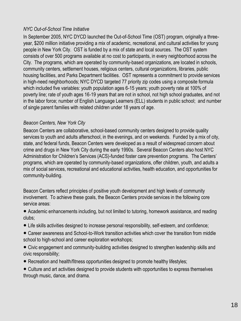#### *NYC Out-of-School Time Initiative*

In September 2005, NYC DYCD launched the Out-of-School Time (OST) program, originally a threeyear, \$200 million initiative providing a mix of academic, recreational, and cultural activities for young people in New York City. OST is funded by a mix of state and local sources. The OST system consists of over 500 programs available at no cost to participants, in every neighborhood across the City. The programs, which are operated by community-based organizations, are located in schools, community centers, settlement houses, religious centers, cultural organizations, libraries, public housing facilities, and Parks Department facilities. OST represents a commitment to provide services in high-need neighborhoods; NYC DYCD targeted 77 priority zip codes using a composite formula which included five variables: youth population ages 6-15 years; youth poverty rate at 100% of poverty line; rate of youth ages 16-19 years that are not in school, not high school graduates, and not in the labor force; number of English Language Learners (ELL) students in public school; and number of single parent families with related children under 18 years of age.

#### *Beacon Centers, New York City*

Beacon Centers are collaborative, school-based community centers designed to provide quality services to youth and adults afterschool, in the evenings, and on weekends. Funded by a mix of city, state, and federal funds, Beacon Centers were developed as a result of widespread concern about crime and drugs in New York City during the early 1990s. Several Beacon Centers also host NYC Administration for Children's Services (ACS)-funded foster care prevention programs. The Centers' programs, which are operated by community-based organizations, offer children, youth, and adults a mix of social services, recreational and educational activities, health education, and opportunities for community-building.

Beacon Centers reflect principles of positive youth development and high levels of community involvement. To achieve these goals, the Beacon Centers provide services in the following core service areas:

● Academic enhancements including, but not limited to tutoring, homework assistance, and reading clubs;

- Life skills activities designed to increase personal responsibility, self-esteem, and confidence;
- Career awareness and School-to-Work transition activities which cover the transition from middle school to high-school and career exploration workshops;
- Civic engagement and community-building activities designed to strengthen leadership skills and civic responsibility;
- Recreation and health/fitness opportunities designed to promote healthy lifestyles;
- Culture and art activities designed to provide students with opportunities to express themselves through music, dance, and drama.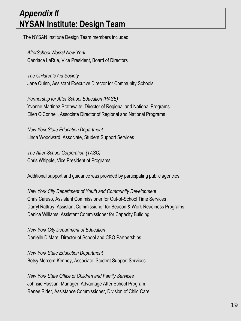### *Appendix II* **NYSAN Institute: Design Team**

The NYSAN Institute Design Team members included:

*AfterSchool Works! New York* Candace LaRue, Vice President, Board of Directors

*The Children's Aid Society* Jane Quinn, Assistant Executive Director for Community Schools

*Partnership for After School Education (PASE)* Yvonne Martinez Brathwaite, Director of Regional and National Programs Ellen O'Connell, Associate Director of Regional and National Programs

*New York State Education Department* Linda Woodward, Associate, Student Support Services

*The After-School Corporation (TASC)* Chris Whipple, Vice President of Programs

Additional support and guidance was provided by participating public agencies:

*New York City Department of Youth and Community Development* Chris Caruso, Assistant Commissioner for Out-of-School Time Services Darryl Rattray, Assistant Commissioner for Beacon & Work Readiness Programs Denice Williams, Assistant Commissioner for Capacity Building

*New York City Department of Education* Danielle DiMare, Director of School and CBO Partnerships

*New York State Education Department* Betsy Morcom-Kenney, Associate, Student Support Services

*New York State Office of Children and Family Services* Johnsie Hassan, Manager, Advantage After School Program Renee Rider, Assistance Commissioner, Division of Child Care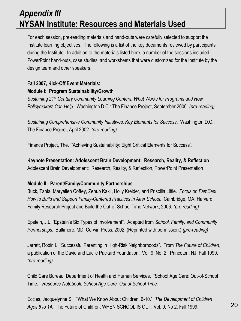### *Appendix III* **NYSAN Institute: Resources and Materials Used**

For each session, pre-reading materials and hand-outs were carefully selected to support the Institute learning objectives. The following is a list of the key documents reviewed by participants during the Institute. In addition to the materials listed here, a number of the sessions included PowerPoint hand-outs, case studies, and worksheets that were customized for the Institute by the design team and other speakers.

#### **Fall 2007, Kick-Off Event Materials:**

#### **Module I: Program Sustainability/Growth**

*Sustaining 21st Century Community Learning Centers, What Works for Programs and How Policymakers Can Help.* Washington D.C.: The Finance Project, September 2006. *(pre-reading)*

*Sustaining Comprehensive Community Initiatives, Key Elements for Success*. Washington D.C.: The Finance Project, April 2002. *(pre-reading)*

Finance Project, The. "Achieving Sustainability: Eight Critical Elements for Success".

**Keynote Presentation: Adolescent Brain Development: Research, Reality, & Reflection** Adolescent Brain Development: Research, Reality, & Reflection, PowerPoint Presentation

#### **Module II: Parent/Family/Community Partnerships**

Buck, Tania, Maryellen Coffey, Zenub Kakli, Holly Kreider, and Priscilla Little. *Focus on Families! How to Build and Support Family-Centered Practices in After School*. Cambridge, MA: Harvard Family Research Project and Build the Out-of-School Time Network, 2006. *(pre-reading)*

Epstein, J.L. "Epstein's Six Types of Involvement". Adapted from *School, Family, and Community Partnerships*. Baltimore, MD: Corwin Press, 2002. (Reprinted with permission.) *(pre-reading)*

Jarrett, Robin L. "Successful Parenting in High-Risk Neighborhoods". From *The Future of Children*, a publication of the David and Lucile Packard Foundation. Vol. 9, No. 2. Princeton, NJ, Fall 1999. *(pre-reading)*

Child Care Bureau, Department of Health and Human Services. "School Age Care: Out-of-School Time*." Resource Notebook: School Age Care: Out of School Time.*

Eccles, Jacquelynne S. "What We Know About Children, 6-10." *The Development of Children Ages 6 to 14*. The Future of Children, WHEN SCHOOL IS OUT, Vol. 9, No 2, Fall 1999.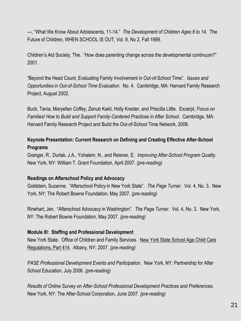---, "What We Know About Adolescents, 11-14." *The Development of Children Ages 6 to 14*. The Future of Children, WHEN SCHOOL IS OUT, Vol. 9, No 2, Fall 1999.

Children's Aid Society, The. "How does parenting change across the developmental continuum?" 2001.

"Beyond the Head Count, Evaluating Family Involvement in Out-of-School Time". *Issues and Opportunities in Out-of-School Time Evaluation.* No. 4. Cambridge, MA: Harvard Family Research Project, August 2002.

Buck, Tania, Maryellen Coffey, Zenub Kakli, Holly Kreider, and Priscilla Little. Excerpt, *Focus on Families! How to Build and Support Family-Centered Practices in After School*. Cambridge, MA: Harvard Family Research Project and Build the Out-of-School Time Network, 2006.

#### **Keynote Presentation: Current Research on Defining and Creating Effective After-School Programs**

Granger, R., Durlak, J.A., Yohalem, N., and Reisner, E. *Improving After-School Program Quality*. New York, NY: William T. Grant Foundation, April 2007. *(pre-reading)*

#### **Readings on Afterschool Policy and Advocacy**

Goldstein, Suzanne. "Afterschool Policy in New York State". *The Page Turner*. Vol. 4, No. 3. New York, NY: The Robert Bowne Foundation, May 2007. *(pre-reading)*

Rinehart, Jen. "Afterschool Advocacy in Washington". *The Page Turner*. Vol. 4, No. 3. New York, NY: The Robert Bowne Foundation, May 2007. *(pre-reading)*

#### **Module III: Staffing and Professional Development**

New York State. Office of Children and Family Services. New York State School Age Child Care Regulations, Part 414. Albany, NY: 2007. *(pre-reading)*

*PASE Professional Development Events and Participation*. New York, NY: Partnership for After School Education, July 2006. *(pre-reading)*

*Results of Online Survey on After-School Professional Development Practices and Preferences.*  New York, NY: The After-School Corporation, June 2007. *(pre-reading)*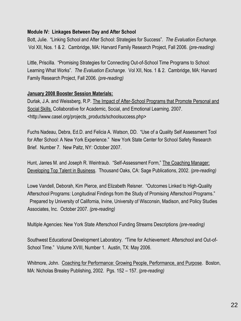#### **Module IV: Linkages Between Day and After School**

Bott, Julie. "Linking School and After School: Strategies for Success". *The Evaluation Exchange.*  Vol XII, Nos. 1 & 2. Cambridge, MA: Harvard Family Research Project, Fall 2006. *(pre-reading)*

Little, Priscilla. "Promising Strategies for Connecting Out-of-School Time Programs to School: Learning What Works". *The Evaluation Exchange.* Vol XII, Nos. 1 & 2. Cambridge, MA: Harvard Family Research Project, Fall 2006. *(pre-reading)*

#### **January 2008 Booster Session Materials:**

Durlak, J.A. and Weissberg, R.P. The Impact of After-School Programs that Promote Personal and Social Skills. Collaborative for Academic, Social, and Emotional Learning. 2007. <http://www.casel.org/projects\_products/schoolsuccess.php>

Fuchs Nadeau, Debra, Ed.D. and Felicia A. Watson, DD. "Use of a Quality Self Assessment Tool for After School: A New York Experience." New York State Center for School Safety Research Brief. Number 7. New Paltz, NY: October 2007.

Hunt, James M. and Joseph R. Weintraub. "Self-Assessment Form," The Coaching Manager: Developing Top Talent in Business. Thousand Oaks, CA: Sage Publications, 2002. *(pre-reading)*

Lowe Vandell, Deborah, Kim Pierce, and Elizabeth Reisner. "Outcomes Linked to High-Quality Afterschool Programs: Longitudinal Findings from the Study of Promising Afterschool Programs." Prepared by University of California, Irvine, University of Wisconsin, Madison, and Policy Studies Associates, Inc. October 2007. *(pre-reading)*

Multiple Agencies: New York State Afterschool Funding Streams Descriptions *(pre-reading)*

Southwest Educational Development Laboratory. "Time for Achievement: Afterschool and Out-of-School Time." Volume XVIII, Number 1. Austin, TX: May 2006.

Whitmore, John. Coaching for Performance: Growing People, Performance, and Purpose. Boston, MA: Nicholas Brealey Publishing, 2002. Pgs. 152 – 157. *(pre-reading)*